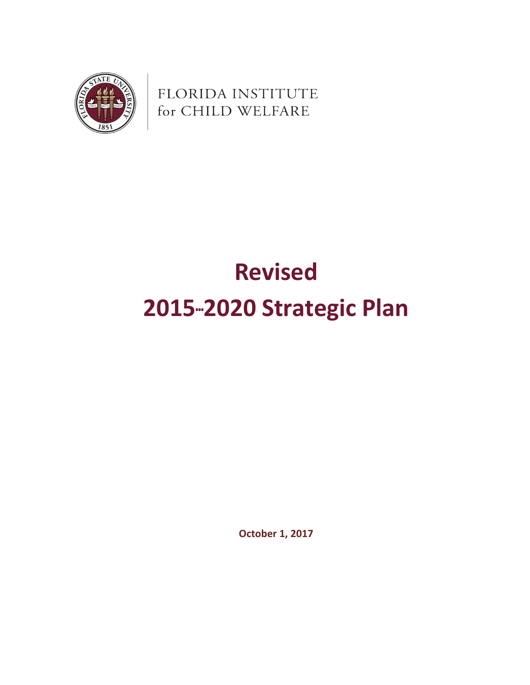

FLORIDA INSTITUTE for CHILD WELFARE

# **Revised 2015-2020 Strategic Plan**

**October 1, 2017**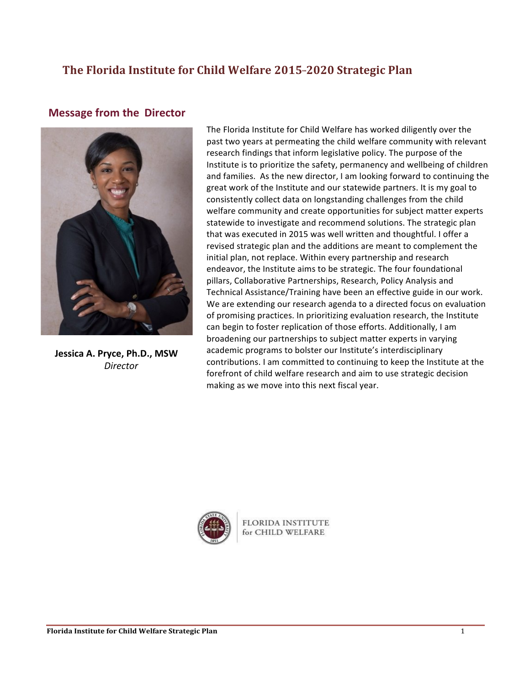## **The** Florida Institute for Child Welfare 2015-2020 Strategic Plan

#### **Message from the Director**



**Jessica A. Pryce, Ph.D., MSW**  *Director*

The Florida Institute for Child Welfare has worked diligently over the past two years at permeating the child welfare community with relevant research findings that inform legislative policy. The purpose of the Institute is to prioritize the safety, permanency and wellbeing of children and families. As the new director, I am looking forward to continuing the great work of the Institute and our statewide partners. It is my goal to consistently collect data on longstanding challenges from the child welfare community and create opportunities for subject matter experts statewide to investigate and recommend solutions. The strategic plan that was executed in 2015 was well written and thoughtful. I offer a revised strategic plan and the additions are meant to complement the initial plan, not replace. Within every partnership and research endeavor, the Institute aims to be strategic. The four foundational pillars, Collaborative Partnerships, Research, Policy Analysis and Technical Assistance/Training have been an effective guide in our work. We are extending our research agenda to a directed focus on evaluation of promising practices. In prioritizing evaluation research, the Institute can begin to foster replication of those efforts. Additionally, I am broadening our partnerships to subject matter experts in varying academic programs to bolster our Institute's interdisciplinary contributions. I am committed to continuing to keep the Institute at the forefront of child welfare research and aim to use strategic decision making as we move into this next fiscal year.



**FLORIDA INSTITUTE** for CHILD WELFARE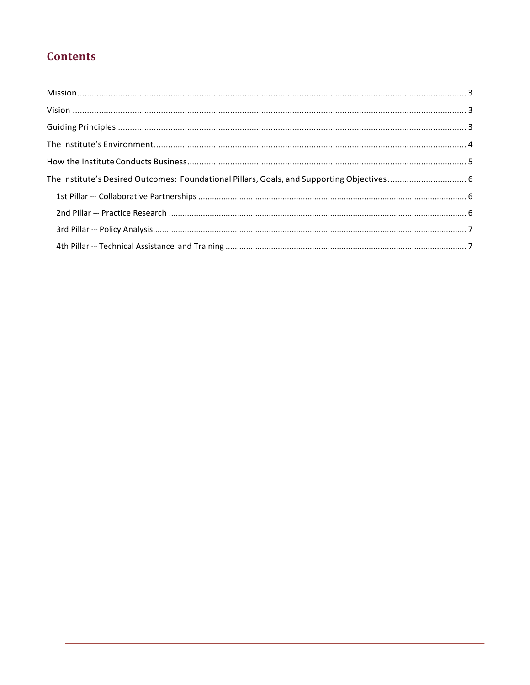# **Contents**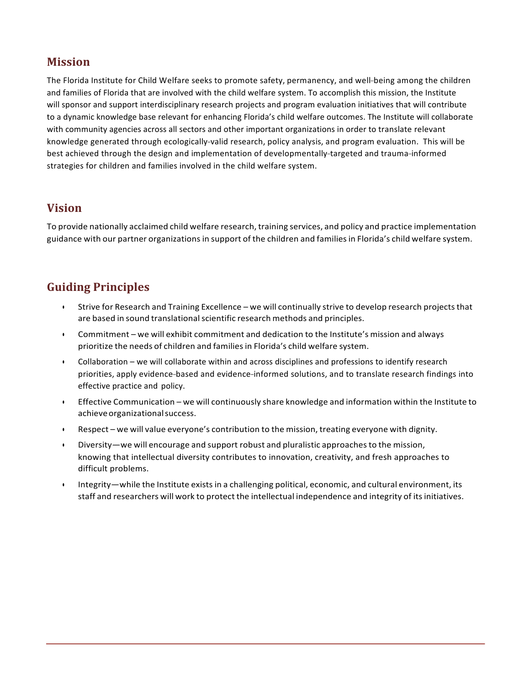### **Mission**

The Florida Institute for Child Welfare seeks to promote safety, permanency, and well-being among the children and families of Florida that are involved with the child welfare system. To accomplish this mission, the Institute will sponsor and support interdisciplinary research projects and program evaluation initiatives that will contribute to a dynamic knowledge base relevant for enhancing Florida's child welfare outcomes. The Institute will collaborate with community agencies across all sectors and other important organizations in order to translate relevant knowledge generated through ecologically-valid research, policy analysis, and program evaluation. This will be best achieved through the design and implementation of developmentally-targeted and trauma-informed strategies for children and families involved in the child welfare system.

### **Vision**

To provide nationally acclaimed child welfare research, training services, and policy and practice implementation guidance with our partner organizationsin support of the children and familiesin Florida's child welfare system.

## **Guiding Principles**

- Strive for Research and Training Excellence we will continually strive to develop research projectsthat are based in sound translational scientific research methods and principles.
- Commitment we will exhibit commitment and dedication to the Institute's mission and always prioritize the needs of children and families in Florida's child welfare system.
- Collaboration we will collaborate within and across disciplines and professions to identify research priorities, apply evidence-based and evidence-informed solutions, and to translate research findings into effective practice and policy.
- Effective Communication we will continuously share knowledge and information within the Institute to achieveorganizationalsuccess.
- Respect we will value everyone's contribution to the mission, treating everyone with dignity.
- Diversity—we will encourage and support robust and pluralistic approaches to the mission, knowing that intellectual diversity contributes to innovation, creativity, and fresh approaches to difficult problems.
- Integrity—while the Institute existsin a challenging political, economic, and cultural environment, its staff and researchers will work to protect the intellectual independence and integrity of its initiatives.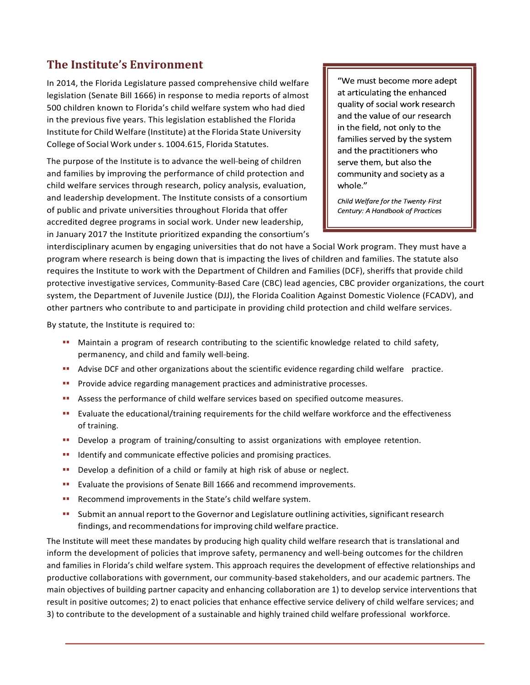## **The Institute's Environment**

In 2014, the Florida Legislature passed comprehensive child welfare legislation (Senate Bill 1666) in response to media reports of almost 500 children known to Florida's child welfare system who had died in the previous five years. This legislation established the Florida Institute for Child Welfare (Institute) at the Florida State University College of Social Work unders. 1004.615, Florida Statutes.

The purpose of the Institute is to advance the well-being of children and families by improving the performance of child protection and child welfare services through research, policy analysis, evaluation, and leadership development. The Institute consists of a consortium of public and private universities throughout Florida that offer accredited degree programs in social work. Under new leadership, in January 2017 the Institute prioritized expanding the consortium's

"We must become more adept at articulating the enhanced quality of social work research and the value of our research in the field, not only to the families served by the system and the practitioners who serve them, but also the community and society as a whole."

Child Welfare for the Twenty First Century: A Handbook of Practices

interdisciplinary acumen by engaging universities that do not have a Social Work program. They must have a program where research is being down that is impacting the lives of children and families. The statute also requires the Institute to work with the Department of Children and Families (DCF), sheriffs that provide child protective investigative services, Community-Based Care (CBC) lead agencies, CBC provider organizations, the court system, the Department of Juvenile Justice (DJJ), the Florida Coalition Against Domestic Violence (FCADV), and other partners who contribute to and participate in providing child protection and child welfare services.

By statute, the Institute is required to:

- ■■ Maintain a program of research contributing to the scientific knowledge related to child safety, permanency, and child and family well-being.
- **■■** Advise DCF and other organizations about the scientific evidence regarding child welfare practice.
- **■■** Provide advice regarding management practices and administrative processes.
- ■■ Assess the performance of child welfare services based on specified outcome measures.
- ■■ Evaluate the educational/training requirements for the child welfare workforce and the effectiveness of training.
- Develop a program of training/consulting to assist organizations with employee retention.
- ■■ Identify and communicate effective policies and promising practices.
- ■■ Develop a definition of a child or family at high risk of abuse or neglect.
- ■■ Evaluate the provisions of Senate Bill 1666 and recommend improvements.
- ■■ Recommend improvements in the State's child welfare system.
- ■■ Submit an annual report to the Governor and Legislature outlining activities, significant research findings, and recommendations for improving child welfare practice.

The Institute will meet these mandates by producing high quality child welfare research that is translational and inform the development of policies that improve safety, permanency and well-being outcomes for the children and families in Florida's child welfare system. This approach requires the development of effective relationships and productive collaborations with government, our community-based stakeholders, and our academic partners. The main objectives of building partner capacity and enhancing collaboration are 1) to develop service interventions that result in positive outcomes; 2) to enact policies that enhance effective service delivery of child welfare services; and 3) to contribute to the development of a sustainable and highly trained child welfare professional workforce.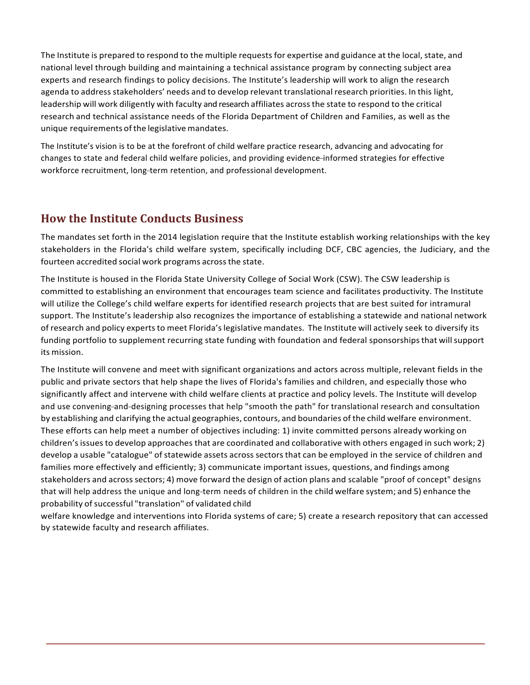The Institute is prepared to respond to the multiple requests for expertise and guidance at the local, state, and national level through building and maintaining a technical assistance program by connecting subject area experts and research findings to policy decisions. The Institute's leadership will work to align the research agenda to address stakeholders' needs and to develop relevant translational research priorities. In this light, leadership will work diligently with faculty and research affiliates across the state to respond to the critical research and technical assistance needs of the Florida Department of Children and Families, as well as the unique requirements of the legislative mandates.

The Institute's vision is to be at the forefront of child welfare practice research, advancing and advocating for changes to state and federal child welfare policies, and providing evidence-informed strategies for effective workforce recruitment, long-term retention, and professional development.

## **How the Institute Conducts Business**

The mandates set forth in the 2014 legislation require that the Institute establish working relationships with the key stakeholders in the Florida's child welfare system, specifically including DCF, CBC agencies, the Judiciary, and the fourteen accredited social work programs acrossthe state.

The Institute is housed in the Florida State University College of Social Work (CSW). The CSW leadership is committed to establishing an environment that encourages team science and facilitates productivity. The Institute will utilize the College's child welfare experts for identified research projects that are best suited for intramural support. The Institute's leadership also recognizes the importance of establishing a statewide and national network of research and policy experts to meet Florida's legislative mandates. The Institute will actively seek to diversify its funding portfolio to supplement recurring state funding with foundation and federal sponsorships that will support its mission.

The Institute will convene and meet with significant organizations and actors across multiple, relevant fields in the public and private sectors that help shape the lives of Florida's families and children, and especially those who significantly affect and intervene with child welfare clients at practice and policy levels. The Institute will develop and use convening-and-designing processes that help "smooth the path" for translational research and consultation by establishing and clarifying the actual geographies, contours, and boundaries of the child welfare environment. These efforts can help meet a number of objectives including: 1) invite committed persons already working on children's issues to develop approaches that are coordinated and collaborative with others engaged in such work; 2) develop a usable "catalogue" of statewide assets across sectors that can be employed in the service of children and families more effectively and efficiently; 3) communicate important issues, questions, and findings among stakeholders and across sectors; 4) move forward the design of action plans and scalable "proof of concept" designs that will help address the unique and long-term needs of children in the child welfare system; and 5) enhance the probability of successful "translation" of validated child

welfare knowledge and interventions into Florida systems of care; 5) create a research repository that can accessed by statewide faculty and research affiliates.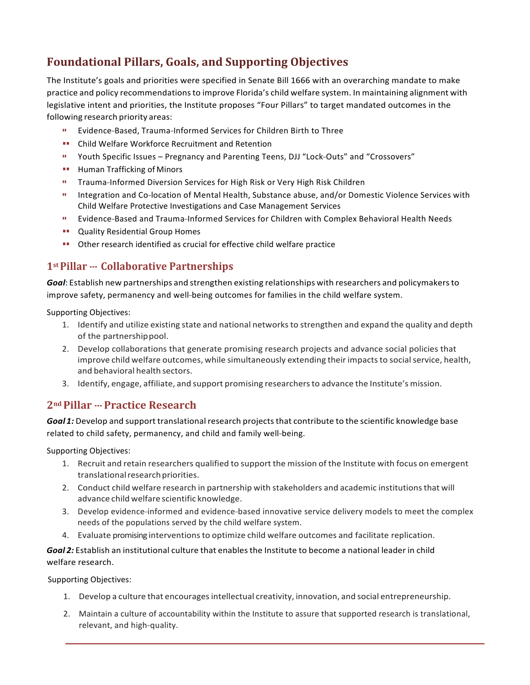## **Foundational Pillars, Goals, and Supporting Objectives**

The Institute's goals and priorities were specified in Senate Bill 1666 with an overarching mandate to make practice and policy recommendationsto improve Florida's child welfare system. In maintaining alignment with legislative intent and priorities, the Institute proposes "Four Pillars" to target mandated outcomes in the following research priority areas:

- Evidence-Based, Trauma-Informed Services for Children Birth to Three
- ■■ Child Welfare Workforce Recruitment and Retention
- <sup>11</sup> Youth Specific Issues Pregnancy and Parenting Teens, DJJ "Lock-Outs" and "Crossovers"
- ■■ Human Trafficking of Minors
- **Trauma-Informed Diversion Services for High Risk or Very High Risk Children**
- Integration and Co-location of Mental Health, Substance abuse, and/or Domestic Violence Services with Child Welfare Protective Investigations and Case Management Services
- **Evidence-Based and Trauma-Informed Services for Children with Complex Behavioral Health Needs**
- ■■ Quality Residential Group Homes
- ■■ Other research identified as crucial for effective child welfare practice

#### 1<sup>st</sup> Pillar --- Collaborative Partnerships

*Goal***:** Establish new partnerships and strengthen existing relationships with researchers and policymakersto improve safety, permanency and well-being outcomes for families in the child welfare system.

Supporting Objectives:

- 1. Identify and utilize existing state and national networksto strengthen and expand the quality and depth of the partnershippool.
- 2. Develop collaborations that generate promising research projects and advance social policies that improve child welfare outcomes, while simultaneously extending their impacts to social service, health, and behavioral health sectors.
- 3. Identify, engage, affiliate, and support promising researchersto advance the Institute's mission.

#### **2nd Pillar --- Practice Research**

*Goal 1:* Develop and support translational research projectsthat contribute to the scientific knowledge base related to child safety, permanency, and child and family well-being.

Supporting Objectives:

- 1. Recruit and retain researchers qualified to support the mission of the Institute with focus on emergent translational research priorities.
- 2. Conduct child welfare research in partnership with stakeholders and academic institutionsthat will advance child welfare scientific knowledge.
- 3. Develop evidence-informed and evidence-based innovative service delivery models to meet the complex needs of the populations served by the child welfare system.
- 4. Evaluate promising interventions to optimize child welfare outcomes and facilitate replication.

*Goal 2:* Establish an institutional culture that enablesthe Institute to become a national leader in child welfare research.

Supporting Objectives:

- 1. Develop a culture that encouragesintellectual creativity, innovation, and social entrepreneurship.
- 2. Maintain a culture of accountability within the Institute to assure that supported research is translational, relevant, and high-quality.